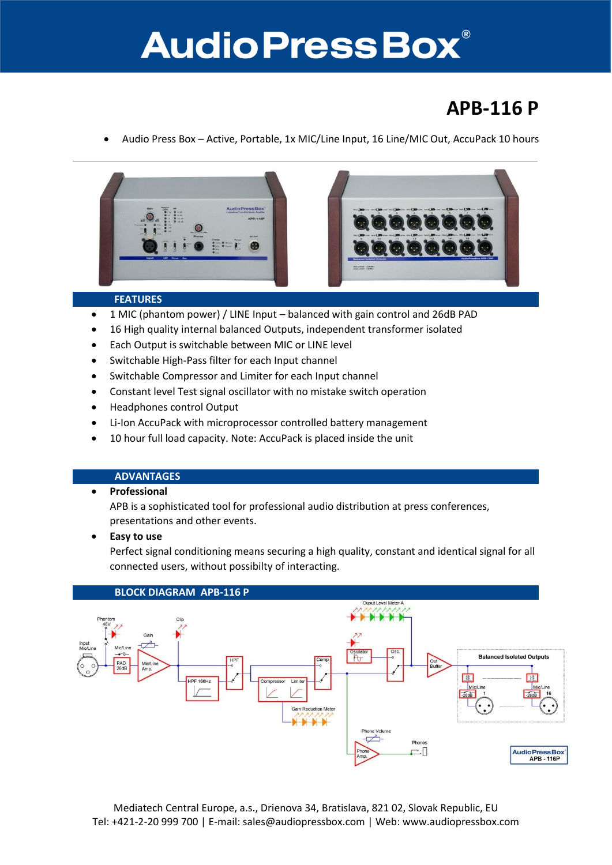## **Audio Press Box®**

### **APB-116 P**

Audio Press Box – Active, Portable, 1x MIC/Line Input, 16 Line/MIC Out, AccuPack 10 hours





#### **FEATURES**

- 1 MIC (phantom power) / LINE Input balanced with gain control and 26dB PAD
- 16 High quality internal balanced Outputs, independent transformer isolated
- Each Output is switchable between MIC or LINE level
- Switchable High-Pass filter for each Input channel
- Switchable Compressor and Limiter for each Input channel
- Constant level Test signal oscillator with no mistake switch operation
- Headphones control Output
- Li-Ion AccuPack with microprocessor controlled battery management
- 10 hour full load capacity. Note: AccuPack is placed inside the unit

#### **ADVANTAGES**

#### **•** Professional

APB is a sophisticated tool for professional audio distribution at press conferences, presentations and other events.

**Easy to use**

Perfect signal conditioning means securing a high quality, constant and identical signal for all connected users, without possibilty of interacting.